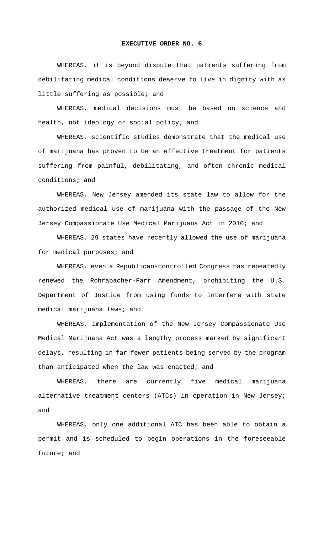## **EXECUTIVE ORDER NO. 6**

WHEREAS, it is beyond dispute that patients suffering from debilitating medical conditions deserve to live in dignity with as little suffering as possible; and

WHEREAS, medical decisions must be based on science and health, not ideology or social policy; and

WHEREAS, scientific studies demonstrate that the medical use of marijuana has proven to be an effective treatment for patients suffering from painful, debilitating, and often chronic medical conditions; and

WHEREAS, New Jersey amended its state law to allow for the authorized medical use of marijuana with the passage of the New Jersey Compassionate Use Medical Marijuana Act in 2010; and

WHEREAS, 29 states have recently allowed the use of marijuana for medical purposes; and

WHEREAS, even a Republican-controlled Congress has repeatedly renewed the Rohrabacher-Farr Amendment, prohibiting the U.S. Department of Justice from using funds to interfere with state medical marijuana laws; and

WHEREAS, implementation of the New Jersey Compassionate Use Medical Marijuana Act was a lengthy process marked by significant delays, resulting in far fewer patients being served by the program than anticipated when the law was enacted; and

WHEREAS, there are currently five medical marijuana alternative treatment centers (ATCs) in operation in New Jersey; and

WHEREAS, only one additional ATC has been able to obtain a permit and is scheduled to begin operations in the foreseeable future; and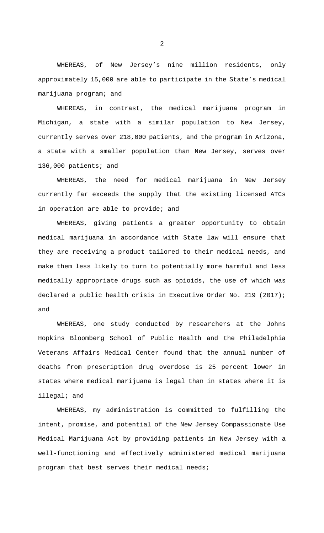WHEREAS, of New Jersey's nine million residents, only approximately 15,000 are able to participate in the State's medical marijuana program; and

WHEREAS, in contrast, the medical marijuana program in Michigan, a state with a similar population to New Jersey, currently serves over 218,000 patients, and the program in Arizona, a state with a smaller population than New Jersey, serves over 136,000 patients; and

WHEREAS, the need for medical marijuana in New Jersey currently far exceeds the supply that the existing licensed ATCs in operation are able to provide; and

WHEREAS, giving patients a greater opportunity to obtain medical marijuana in accordance with State law will ensure that they are receiving a product tailored to their medical needs, and make them less likely to turn to potentially more harmful and less medically appropriate drugs such as opioids, the use of which was declared a public health crisis in Executive Order No. 219 (2017); and

WHEREAS, one study conducted by researchers at the Johns Hopkins Bloomberg School of Public Health and the Philadelphia Veterans Affairs Medical Center found that the annual number of deaths from prescription drug overdose is 25 percent lower in states where medical marijuana is legal than in states where it is illegal; and

WHEREAS, my administration is committed to fulfilling the intent, promise, and potential of the New Jersey Compassionate Use Medical Marijuana Act by providing patients in New Jersey with a well-functioning and effectively administered medical marijuana program that best serves their medical needs;

2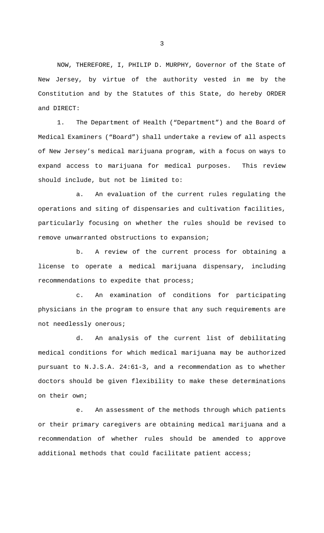NOW, THEREFORE, I, PHILIP D. MURPHY, Governor of the State of New Jersey, by virtue of the authority vested in me by the Constitution and by the Statutes of this State, do hereby ORDER and DIRECT:

1. The Department of Health ("Department") and the Board of Medical Examiners ("Board") shall undertake a review of all aspects of New Jersey's medical marijuana program, with a focus on ways to expand access to marijuana for medical purposes. This review should include, but not be limited to:

a. An evaluation of the current rules regulating the operations and siting of dispensaries and cultivation facilities, particularly focusing on whether the rules should be revised to remove unwarranted obstructions to expansion;

b. A review of the current process for obtaining a license to operate a medical marijuana dispensary, including recommendations to expedite that process;

c. An examination of conditions for participating physicians in the program to ensure that any such requirements are not needlessly onerous;

d. An analysis of the current list of debilitating medical conditions for which medical marijuana may be authorized pursuant to N.J.S.A. 24:61-3, and a recommendation as to whether doctors should be given flexibility to make these determinations on their own;

e. An assessment of the methods through which patients or their primary caregivers are obtaining medical marijuana and a recommendation of whether rules should be amended to approve additional methods that could facilitate patient access;

3